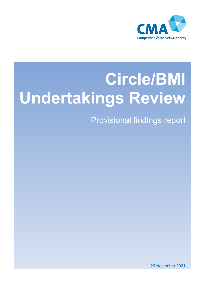

# **Circle/BMI Undertakings Review**

Provisional findings report

26 November 2021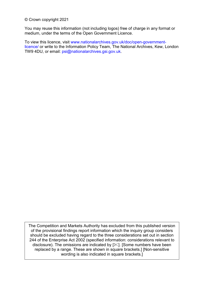© Crown copyright 2021

You may reuse this information (not including logos) free of charge in any format or medium, under the terms of the Open Government Licence.

To view this licence, visit [www.nationalarchives.gov.uk/doc/open-government](http://www.nationalarchives.gov.uk/doc/open-government-licence/)[licence/](http://www.nationalarchives.gov.uk/doc/open-government-licence/) or write to the Information Policy Team, The National Archives, Kew, London TW9 4DU, or email: [psi@nationalarchives.gsi.gov.uk.](mailto:psi@nationalarchives.gsi.gov.uk)

The Competition and Markets Authority has excluded from this published version of the provisional findings report information which the inquiry group considers should be excluded having regard to the three considerations set out in section 244 of the Enterprise Act 2002 (specified information: considerations relevant to disclosure). The omissions are indicated by  $[\mathcal{K}]$ . [Some numbers have been replaced by a range. These are shown in square brackets.] [Non-sensitive wording is also indicated in square brackets.]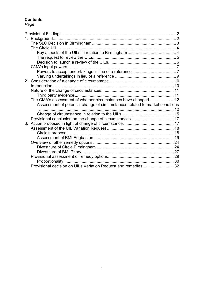## **Contents**

## *Page*

| 1. |                                                                              |  |
|----|------------------------------------------------------------------------------|--|
|    |                                                                              |  |
|    |                                                                              |  |
|    |                                                                              |  |
|    |                                                                              |  |
|    |                                                                              |  |
|    |                                                                              |  |
|    |                                                                              |  |
|    |                                                                              |  |
| 2. |                                                                              |  |
|    |                                                                              |  |
|    |                                                                              |  |
|    |                                                                              |  |
|    | The CMA's assessment of whether circumstances have changed 12                |  |
|    | Assessment of potential change of circumstances related to market conditions |  |
|    |                                                                              |  |
|    |                                                                              |  |
|    |                                                                              |  |
| 3. |                                                                              |  |
|    |                                                                              |  |
|    |                                                                              |  |
|    |                                                                              |  |
|    |                                                                              |  |
|    |                                                                              |  |
|    |                                                                              |  |
|    |                                                                              |  |
|    |                                                                              |  |
|    | Provisional decision on UILs Variation Request and remedies 32               |  |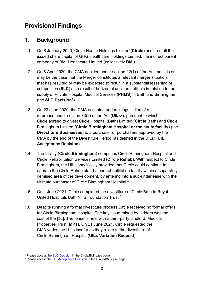# <span id="page-3-0"></span>**Provisional Findings**

## <span id="page-3-1"></span>**1. Background**

- 1.1 On 8 January 2020, Circle Health Holdings Limited (**Circle**) acquired all the issued share capital of GHG Healthcare Holdings Limited, the indirect parent company of BMI Healthcare Limited (collectively **BMI**).
- 1.2 On 8 April 2020, the CMA decided under section 22(1) of the Act that it is or may be the case that the Merger constitutes a relevant merger situation that has resulted or may be expected to result in a substantial lessening of competition (**SLC**) as a result of horizontal unilateral effects in relation to the supply of Private Hospital Medical Services (**PHMS**) in Bath and Birmingham (the **SLC Decision[1](#page-3-2)**).
- 1.3 On 23 June 2020, the CMA accepted undertakings in lieu of a reference under section 73(2) of the Act (**UILs[2](#page-3-3)**), pursuant to which Circle agreed to divest Circle Hospital (Bath) Limited (**Circle Bath**) and Circle Birmingham Limited (**Circle Birmingham Hospital or the acute facility**) (the **Divestiture Businesses**) to a purchaser or purchasers approved by the CMA by the end of the Divestiture Period (as defined in the UILs) (**UIL Acceptance Decision**).
- 1.4 The facility (**Circle Birmingham**) comprises Circle Birmingham Hospital and Circle Rehabilitation Services Limited (**Circle Rehab**). With respect to Circle Birmingham, the UILs specifically provided that Circle could continue to operate the Circle Rehab stand-alone rehabilitation facility within a separately demised area of the development, by entering into a sub-underlease with the ultimate purchaser of Circle Birmingham Hospital. 4
- 1.5 On 1 June 2021, Circle completed the divestiture of Circle Bath to Royal United Hospitals Bath NHS Foundation Trust.5
- 1.6 Despite running a formal divestiture process Circle received no formal offers for Circle Birmingham Hospital. The key issue raised by bidders was the cost of the  $[\mathcal{K}]$ . The lease is held with a third-party landlord, Medical Properties Trust (**MPT**). On 21 June 2021, Circle requested the CMA varies the UILs insofar as they relate to the divestiture of Circle Birmingham Hospital (**UILs Variation Request**).

<span id="page-3-3"></span><span id="page-3-2"></span><sup>&</sup>lt;sup>1</sup> Please access the SLC Decision in the Circle/BMI case page.<br><sup>2</sup> Please access th[e UIL Acceptance Decision](https://assets.publishing.service.gov.uk/media/5ef1d8dd86650c113a46e2a0/Circle_BMI_-_UILs_22.6.20__004_.pdf) in the Circle/BMI case page.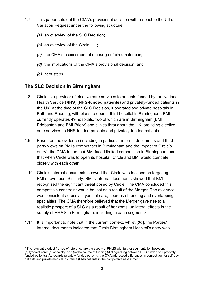- 1.7 This paper sets out the CMA's provisional decision with respect to the UILs Variation Request under the following structure:
	- *(a)* an overview of the SLC Decision;
	- *(b)* an overview of the Circle UIL;
	- *(c)* the CMA's assessment of a change of circumstances;
	- *(d)* the implications of the CMA's provisional decision; and
	- *(e)* next steps.

## <span id="page-4-0"></span>**The SLC Decision in Birmingham**

- 1.8 Circle is a provider of elective care services to patients funded by the National Health Service (**NHS**) (**NHS-funded patients**) and privately-funded patients in the UK. At the time of the SLC Decision, it operated two private hospitals in Bath and Reading, with plans to open a third hospital in Birmingham. BMI currently operates 49 hospitals, two of which are in Birmingham (BMI Edgbaston and BMI Priory) and clinics throughout the UK, providing elective care services to NHS-funded patients and privately-funded patients.
- 1.9 Based on the evidence (including in particular internal documents and third party views on BMI's competitors in Birmingham and the impact of Circle's entry), the CMA found that BMI faced limited competition in Birmingham and that when Circle was to open its hospital, Circle and BMI would compete closely with each other.
- 1.10 Circle's internal documents showed that Circle was focused on targeting BMI's revenues. Similarly, BMI's internal documents showed that BMI recognised the significant threat posed by Circle. The CMA concluded this competitive constraint would be lost as a result of the Merger. The evidence was consistent across all types of care, sources of funding and overlapping specialties. The CMA therefore believed that the Merger gave rise to a realistic prospect of a SLC as a result of horizontal unilateral effects in the supply of PHMS in Birmingham, including in each segment.<sup>[3](#page-4-1)</sup>
- <span id="page-4-2"></span>1.11 It is important to note that in the current context, whilst **[]**, the Parties' internal documents indicated that Circle Birmingham Hospital's entry was

<span id="page-4-1"></span><sup>&</sup>lt;sup>3</sup> The relevant product frames of reference are the supply of PHMS with further segmentation between: (a) types of care; (b) specialty; and (c) the source of funding (distinguishing between NHS-funded and privately funded patients). As regards privately-funded patients, the CMA addressed differences in competition for self-pay patients and private medical insurance (**PMI**) patients in the competitive assessment.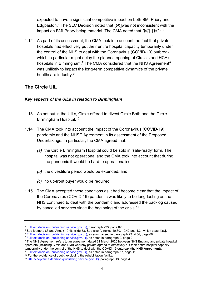expected to have a significant competitive impact on both BMI Priory and Edgbaston. [4](#page-5-2) The SLC Decision noted that **[]**was not inconsistent with the impact on BMI Priory being material. The CMA noted that **[]**. **[][5](#page-5-3)**. [6](#page-5-4) 

1.12 As part of its assessment, the CMA took into account the fact that private hospitals had effectively put their entire hospital capacity temporarily under the control of the NHS to deal with the Coronavirus (COVID-19) outbreak, which in particular might delay the planned opening of Circle's and HCA's hospitals in Birmingham.<sup>[7](#page-5-5)</sup> The CMA considered that the NHS Agreement<sup>[8](#page-5-6)</sup> was unlikely to impact the long-term competitive dynamics of the private healthcare industry.[9](#page-5-7)

## <span id="page-5-0"></span>**The Circle UIL**

#### <span id="page-5-1"></span>*Key aspects of the UILs in relation to Birmingham*

- 1.13 As set out in the UILs, Circle offered to divest Circle Bath and the Circle Birmingham Hospital. [10](#page-5-8)
- 1.14 The CMA took into account the impact of the Coronavirus (COVID-19) pandemic and the NHSE Agreement in its assessment of the Proposed Undertakings. In particular, the CMA agreed that:
	- *(a)* the Circle Birmingham Hospital could be sold in 'sale-ready' form. The hospital was not operational and the CMA took into account that during the pandemic it would be hard to operationalise;
	- *(b)* the divestiture period would be extended; and
	- *(c)* no up-front buyer would be required.
- <span id="page-5-10"></span>1.15 The CMA accepted these conditions as it had become clear that the impact of the Coronavirus (COVID 19) pandemic was likely to be long-lasting as the NHS continued to deal with the pandemic and addressed the backlog caused by cancelled services since the beginning of the crisis.<sup>11</sup>

<span id="page-5-2"></span> $4$  [Full text decision \(publishing.service.gov.uk\),](https://assets.publishing.service.gov.uk/media/5ec3e28cd3bf7f5d411ada9c/SLC_full_text_decision.pdf) paragraph 223, page 62.<br>  $5$  See footnote 83 and Annex 10.46, slide 58. See also Annexes 10.39, 10.40 and 4.34 which state: [ $\ll$ ].

<span id="page-5-4"></span><span id="page-5-3"></span><sup>&</sup>lt;sup>6</sup> [Full text decision \(publishing.service.gov.uk\),](https://assets.publishing.service.gov.uk/media/5ec3e28cd3bf7f5d411ada9c/SLC_full_text_decision.pdf) as summarised in paragraph 231-234, page 66.<br><sup>7</sup> Full text decision (publishing.service.gov.uk), as noted in paragraph 9, page 2.

<span id="page-5-6"></span><span id="page-5-5"></span><sup>&</sup>lt;sup>8</sup> The NHS Agreement refers to an agreement dated 21 March 2020 between NHS England and private hospital operators (including Circle and BMI) whereby private agreed to effectively put their entire hospital capacity<br>temporarily under the control of the NHS to deal with the COVID-19 outbreak (the NHS Agreement).

<span id="page-5-7"></span><sup>&</sup>lt;sup>9</sup> Full text decision (publishing service gov.uk), as noted in paragraph 57, page 11.<br><sup>10</sup> For the avoidance of doubt, excluding the rehabilitation facility.

<span id="page-5-9"></span><span id="page-5-8"></span><sup>&</sup>lt;sup>11</sup> UIL acceptance decision (publishing service gov.uk), paragraph 13, page 4.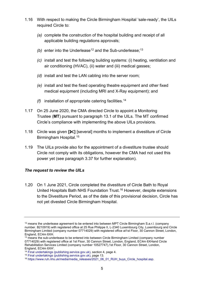- 1.16 With respect to making the Circle Birmingham Hospital 'sale-ready', the UILs required Circle to:
	- *(a)* complete the construction of the hospital building and receipt of all applicable building regulations approvals;
	- (b) enter into the Underlease<sup>[12](#page-6-1)</sup> and the Sub-underlease;<sup>13</sup>
	- *(c)* install and test the following building systems: (i) heating, ventilation and air conditioning (HVAC), (ii) water and (iii) medical gasses;
	- *(d)* install and test the LAN cabling into the server room;
	- *(e)* install and test the fixed operating theatre equipment and other fixed medical equipment (including MRI and X-Ray equipment); and
	- *(f)* installation of appropriate catering facilities.[14](#page-6-3)
- 1.17 On 25 June 2020, the CMA directed Circle to appoint a Monitoring Trustee (**MT**) pursuant to paragraph 13.1 of the UILs. The MT confirmed Circle's compliance with implementing the above UILs provisions.
- 1.18 Circle was given **[]** [several] months to implement a divestiture of Circle Birmingham Hospital. [15](#page-6-4)
- 1.19 The UILs provide also for the appointment of a divestiture trustee should Circle not comply with its obligations, however the CMA had not used this power yet (see paragraph [3.37](#page-26-0) for further explanation).

### <span id="page-6-0"></span>*The request to review the UILs*

1.20 On 1 June 2021, Circle completed the divestiture of Circle Bath to Royal United Hospitals Bath NHS Foundation Trust.[16](#page-6-5) However, despite extensions to the Divestiture Period, as of the date of this provisional decision, Circle has not yet divested Circle Birmingham Hospital.

<span id="page-6-1"></span><sup>&</sup>lt;sup>12</sup> means the underlease agreement to be entered into between MPT Circle Birmingham S.a.r.l. (company number. B210919) with registered office at 25 Rue Philippe II, L-2340 Luxembourg City, Luxembourg and Circle Birmingham Limited (company number 07714029) with registered office at1st Floor, 30 Cannon Street, London, England, EC4m 6XH.

<span id="page-6-2"></span><sup>&</sup>lt;sup>13</sup> means the sub-underlease to be entered into between Circle Birmingham Limited (company number 07714029) with registered office at 1st Floor, 30 Cannon Street, London, England, EC4m 6XHand Circle Rehabilitation Services Limited (company number 10527747),1st Floor, 30 Cannon Street, London,

<span id="page-6-3"></span>England, EC4m 6XH'.<br><sup>14</sup> Final undertakings (publishing.service.gov.uk), section 4, page 4.

<span id="page-6-5"></span><span id="page-6-4"></span><sup>&</sup>lt;sup>15</sup> [Final undertakings \(publishing.service.gov.uk\),](https://assets.publishing.service.gov.uk/media/5ef1d8dd86650c113a46e2a0/Circle_BMI_-_UILs_22.6.20__004_.pdf) page 13.<br><sup>16</sup> [https://www.ruh.nhs.uk/media/media\\_releases/2021\\_06\\_01\\_RUH\\_buys\\_Circle\\_hospital.asp.](https://www.ruh.nhs.uk/media/media_releases/2021_06_01_RUH_buys_Circle_hospital.asp)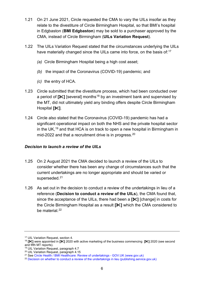- 1.21 On 21 June 2021, Circle requested the CMA to vary the UILs insofar as they relate to the divestiture of Circle Birmingham Hospital, so that BMI's hospital in Edgbaston (**BMI Edgbaston**) may be sold to a purchaser approved by the CMA, instead of Circle Birmingham (**UILs Variation Request**).
- 1.22 The UILs Variation Request stated that the circumstances underlying the UILs have materially changed since the UILs came into force, on the basis of:<sup>[17](#page-7-1)</sup>
	- *(a)* Circle Birmingham Hospital being a high cost asset;
	- *(b)* the impact of the Coronavirus (COVID-19) pandemic; and
	- *(c)* the entry of HCA.
- 1.23 Circle submitted that the divestiture process, which had been conducted over a period of  $[\mathcal{K}]$  [several] months<sup>[18](#page-7-2)</sup> by an investment bank and supervised by the MT, did not ultimately yield any binding offers despite Circle Birmingham Hospital **[]**.
- 1.24 Circle also stated that the Coronavirus (COVID-19) pandemic has had a significant operational impact on both the NHS and the private hospital sector in the UK,<sup>[19](#page-7-3)</sup> and that HCA is on track to open a new hospital in Birmingham in mid-2022 and that a recruitment drive is in progress.<sup>20</sup>

### <span id="page-7-0"></span>*Decision to launch a review of the UILs*

- 1.25 On 2 August 2021 the CMA decided to launch a review of the UILs to consider whether there has been any change of circumstances such that the current undertakings are no longer appropriate and should be varied or superseded.<sup>[21](#page-7-5)</sup>
- 1.26 As set out in the decision to conduct a review of the undertakings in lieu of a reference (**Decision to conduct a review of the UILs**), the CMA found that, since the acceptance of the UILs, there had been a **[]** [change] in costs for the Circle Birmingham Hospital as a result **[]** which the CMA considered to be material.<sup>[22](#page-7-6)</sup>

<sup>17</sup> UIL Variation Request, section 4.

<span id="page-7-2"></span><span id="page-7-1"></span><sup>18</sup> **[** $\blacktriangleright$ ] were appointed in **[** $\blacktriangleright$ ] 2020 with active marketing of the business commencing **[** $\blacktriangleright$ ] 2020 (see second and fifth MT reports).

<sup>&</sup>lt;sup>19</sup> UIL Variation Request, paragraph 4.7

<span id="page-7-4"></span><span id="page-7-3"></span><sup>20</sup> UIL Variation Request, paragraph 4.15

<span id="page-7-5"></span><sup>21</sup> See Circle Health / BMI Healthcare: Review of undertakings - GOV.UK (www.gov.uk)

<span id="page-7-6"></span><sup>&</sup>lt;sup>22</sup> [Decision on whether to conduct a review of the undertakings in lieu \(publishing.service.gov.uk\)](https://assets.publishing.service.gov.uk/media/616ec1a08fa8f52981d40dbb/Version_for_case_page_-_Decision_on_whether_to_conduct_a_review_191021_.pdf)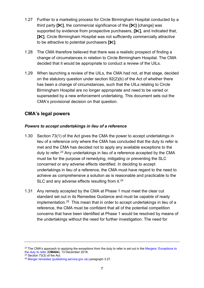- 1.27 Further to a marketing process for Circle Birmingham Hospital conducted by a third party **[]**, the commercial significance of the **[]** [change] was supported by evidence from prospective purchasers,  $[\mathcal{K}]$ , and indicated that, **[]**, Circle Birmingham Hospital was not sufficiently commercially attractive to be attractive to potential purchasers **[]**.
- 1.28 The CMA therefore believed that there was a realistic prospect of finding a change of circumstances in relation to Circle Birmingham Hospital. The CMA decided that it would be appropriate to conduct a review of the UILs.
- 1.29 When launching a review of the UILs, the CMA had not, at that stage, decided on the statutory question under section 92(2)(b) of the Act of whether there has been a change of circumstances, such that the UILs relating to Circle Birmingham Hospital are no longer appropriate and need to be varied or superseded by a new enforcement undertaking. This document sets out the CMA's provisional decision on that question.

## <span id="page-8-0"></span>**CMA's legal powers**

## <span id="page-8-1"></span>*Powers to accept undertakings in lieu of a reference*

- 1.30 Section 73(1) of the Act gives the CMA the power to accept undertakings in lieu of a reference only where the CMA has concluded that the duty to refer is met and the CMA has decided not to apply any available exceptions to the duty to refer.<sup>23</sup> Any undertakings in lieu of a reference accepted by the CMA must be for the purpose of remedying, mitigating or preventing the SLC concerned or any adverse effects identified. In deciding to accept undertakings in lieu of a reference, the CMA must have regard to the need to achieve as comprehensive a solution as is reasonable and practicable to the SLC and any adverse effects resulting from it.<sup>[24](#page-8-3)</sup>
- 1.31 Any remedy accepted by the CMA at Phase 1 must meet the clear cut standard set out in its Remedies Guidance and must be capable of ready implementation. [25](#page-8-4) This mean that in order to accept undertakings in lieu of a reference, the CMA must be confident that all of the potential competition concerns that have been identified at Phase 1 would be resolved by means of the undertakings without the need for further investigation. The need for

<span id="page-8-2"></span><sup>&</sup>lt;sup>23</sup> The CMA's approach to applying the exceptions from the duty to refer is set out in the [Mergers: Exceptions to](https://assets.publishing.service.gov.uk/government/uploads/system/uploads/attachment_data/file/898406/Mergers_Exceptions_to_the_duty_to_refer.pdf) the duty to refer (CMA64), 13 December 2018.

<span id="page-8-4"></span><span id="page-8-3"></span>

<sup>&</sup>lt;sup>24</sup> Section 73(3) of the Act.<br><sup>25</sup> [Merger remedies \(publishing.service.gov.uk\)](https://assets.publishing.service.gov.uk/government/uploads/system/uploads/attachment_data/file/764372/Merger_remedies_guidance.pdf) paragraph 3.27.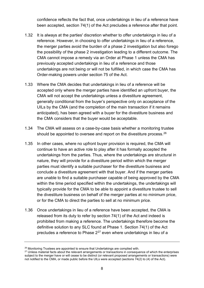confidence reflects the fact that, once undertakings in lieu of a reference have been accepted, section 74(1) of the Act precludes a reference after that point.

- 1.32 It is always at the parties' discretion whether to offer undertakings in lieu of a reference. However, in choosing to offer undertakings in lieu of a reference, the merger parties avoid the burden of a phase 2 investigation but also forego the possibility of the phase 2 investigation leading to a different outcome. The CMA cannot impose a remedy via an Order at Phase 1 unless the CMA has previously accepted undertakings in lieu of a reference and those undertakings are not being or will not be fulfilled, in which case the CMA has Order-making powers under section 75 of the Act.
- 1.33 Where the CMA decides that undertakings in lieu of a reference will be accepted only where the merger parties have identified an upfront buyer, the CMA will not accept the undertakings unless a divestiture agreement, generally conditional from the buyer's perspective only on acceptance of the UILs by the CMA (and the completion of the main transaction if it remains anticipated), has been agreed with a buyer for the divestiture business and the CMA considers that the buyer would be acceptable.
- 1.34 The CMA will assess on a case-by-case basis whether a monitoring trustee should be appointed to oversee and report on the divestiture process.<sup>[26](#page-9-0)</sup>
- 1.35 In other cases, where no upfront buyer provision is required, the CMA will continue to have an active role to play after it has formally accepted the undertakings from the parties. Thus, where the undertakings are structural in nature, they will provide for a divestiture period within which the merger parties must identify a suitable purchaser for the divestiture business and conclude a divestiture agreement with that buyer. And if the merger parties are unable to find a suitable purchaser capable of being approved by the CMA within the time period specified within the undertakings, the undertakings will typically provide for the CMA to be able to appoint a divestiture trustee to sell the divestiture business on behalf of the merger parties at no minimum price, or for the CMA to direct the parties to sell at no minimum price.
- 1.36 Once undertakings in lieu of a reference have been accepted, the CMA is released from its duty to refer by section 74(1) of the Act and indeed is prohibited from making a reference. The undertakings therefore become the definitive solution to any SLC found at Phase 1. Section 74(1) of the Act precludes a reference to Phase  $2^{27}$  $2^{27}$  $2^{27}$  even where undertakings in lieu of a

<span id="page-9-1"></span><span id="page-9-0"></span> $26$  Monitoring Trustees are appointed to ensure that Undertakings are complied with.<br><sup>27</sup> Unless material facts about the relevant arrangements or transactions in consequence of which the enterprises subject to the merger have or will cease to be distinct (or relevant proposed arrangements or transactions) were not notified to the CMA, or made public before the UILs were accepted (sections 74(2) to (4) of the Act).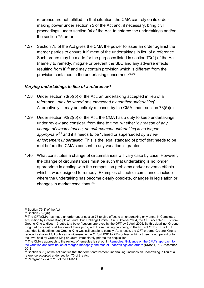reference are not fulfilled. In that situation, the CMA can rely on its ordermaking power under section 75 of the Act and, if necessary, bring civil proceedings, under section 94 of the Act, to enforce the undertakings and/or the section 75 order.

1.37 Section 75 of the Act gives the CMA the power to issue an order against the merger parties to ensure fulfilment of the undertakings in lieu of a reference. Such orders may be made for the purposes listed in section 73(2) of the Act (namely to remedy, mitigate or prevent the SLC and any adverse effects resulting from it)<sup>[28](#page-10-1)</sup> and may contain provision which is different from the provision contained in the undertaking concerned[.29](#page-10-2),[30](#page-10-3)

#### <span id="page-10-0"></span>*Varying undertakings in lieu of a reference[31](#page-10-4)*

- 1.38 Under section 73(5)(b) of the Act, an undertaking accepted in lieu of a reference, '*may be varied or superseded by another undertaking*'. Alternatively, it may be entirely released by the CMA under section 73(5)(c).
- 1.39 Under section 92(2)(b) of the Act, the CMA has a duty to keep undertakings under review and consider, from time to time, whether '*by reason of any change of circumstances, an enforcement undertaking is no longer appropriate*' [32](#page-10-5) and if it needs to be "varied or superseded *by a new enforcement undertaking*. This is the legal standard of proof that needs to be met before the CMA's consent to any variation is granted.
- 1.40 What constitutes a change of circumstances will vary case by case. However, the change of circumstances must be such that undertaking is no longer appropriate in dealing with the competition problems and/or adverse effects which it was designed to remedy. Examples of such circumstances include where the undertaking has become clearly obsolete, changes in legislation or changes in market conditions.[33](#page-10-6)

<span id="page-10-1"></span><sup>28</sup> Section 75(3) of the Act

<span id="page-10-2"></span> $29$  Section 75(5)(b).

<span id="page-10-3"></span><sup>&</sup>lt;sup>30</sup> The OFT/CMA has made an order under section 75 to give effect to an undertaking only once, in Completed acquisition by Greene King plc of Laurel Pub Holdings Limited. On 6 October 2004, the OFT accepted UILs from Greene King to divest 13 pubs to a buyer/ buyers approved by the OFT by 5 April 2005. By this deadline, Greene King had disposed of all but one of these pubs, with the remaining pub being in the PSD of Oxford. The OFT extended its deadline, but Greene King was still unable to comply. As a result, the OFT ordered Greene King to reduce its share of full publican on-licenses in the Oxford PSD to 25% or less within a three month period or to the level held by Greene King or Laurel immediately prior to the acquisition.

<span id="page-10-4"></span><sup>&</sup>lt;sup>31</sup> The CMA's approach to the review of remedies is set out in Remedies: Guidance on the CMA's approach to [the variation and termination of merger, monopoly and market undertakings and orders](https://assets.publishing.service.gov.uk/government/uploads/system/uploads/attachment_data/file/764372/Merger_remedies_guidance.pdf) (**CMA11**), 13 December 2018.

<span id="page-10-5"></span> $32$  Section 89(2) of the Act clarifies that the term "enforcement undertaking" includes an undertaking in lieu of a reference accepted under section 73 of the Act.

<span id="page-10-6"></span><sup>33</sup> Paragraphs 2.4 to 2.6 of the CMA11.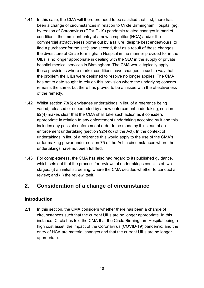- 1.41 In this case, the CMA will therefore need to be satisfied that first, there has been a change of circumstances in relation to Circle Birmingham Hospital (eg, by reason of Coronavirus (COVID-19) pandemic related changes in market conditions, the imminent entry of a new competitor (HCA) and/or the commercial attractiveness borne out by a failure, despite best endeavours, to find a purchaser for the site); and second, that as a result of these changes, the divestiture of Circle Birmingham Hospital in the manner provided for in the UILs is no longer appropriate in dealing with the SLC in the supply of private hospital medical services in Birmingham. The CMA would typically apply these provisions where market conditions have changed in such a way that the problem the UILs were designed to resolve no longer applies. The CMA has not to date sought to rely on this provision where the underlying concern remains the same, but there has proved to be an issue with the effectiveness of the remedy.
- 1.42 Whilst section 73(5) envisages undertakings in lieu of a reference being varied, released or superseded by a new enforcement undertaking, section 92(4) makes clear that the CMA shall take such action as it considers appropriate in relation to any enforcement undertaking accepted by it and this includes any possible enforcement order to be made by it instead of an enforcement undertaking (section 92(4)(d) of the Act). In the context of undertakings in lieu of a reference this would apply to the use of the CMA's order making power under section 75 of the Act in circumstances where the undertakings have not been fulfilled.
- 1.43 For completeness, the CMA has also had regard to its published guidance, which sets out that the process for reviews of undertakings consists of two stages: (i) an initial screening, where the CMA decides whether to conduct a review; and (ii) the review itself.

## <span id="page-11-0"></span>**2. Consideration of a change of circumstance**

## <span id="page-11-1"></span>**Introduction**

2.1 In this section, the CMA considers whether there has been a change of circumstances such that the current UILs are no longer appropriate. In this instance, Circle has told the CMA that the Circle Birmingham Hospital being a high cost asset; the impact of the Coronavirus (COVID-19) pandemic; and the entry of HCA are material changes and that the current UILs are no longer appropriate.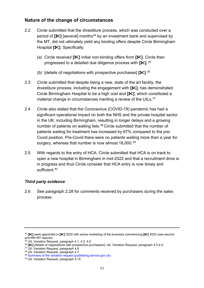## <span id="page-12-0"></span>**Nature of the change of circumstances**

- 2.2 Circle submitted that the divestiture process, which was conducted over a period of **[** $\mathcal{K}$ ] [several] months<sup>[34](#page-12-2)</sup> by an investment bank and supervised by the MT, did not ultimately yield any binding offers despite Circle Birmingham Hospital **[]**. Specifically:
	- *(a)* Circle received **[]** initial non-binding offers from **[]**. Circle then progressed to a detailed due diligence process with **[]**. [35](#page-12-3)
	- *(b)* [details of negotiations with prospective purchases] **[]**. [36](#page-12-4)
- 2.3 Circle submitted that despite being a new, state of the art facility, the divestiture process, including the engagement with **[]**, has demonstrated Circle Birmingham Hospital to be a high cost and **[]**, which constituted a material change in circumstances meriting a review of the UILs.<sup>37</sup>
- 2.4 Circle also stated that the Coronavirus (COVID-19) pandemic has had a significant operational impact on both the NHS and the private hospital sector in the UK, including Birmingham, resulting in longer delays and a growing number of patients on waiting lists.<sup>[38](#page-12-6)</sup> Circle submitted that the number of patients waiting for treatment has increased by 67% compared to the pre-Covid position. Pre-Covid there were no patients waiting more than a year for surgery, whereas that number is now almost 18,000.<sup>[39](#page-12-7)</sup>
- 2.5 With regards to the entry of HCA, Circle submitted that HCA is on track to open a new hospital in Birmingham in mid-2022 and that a recruitment drive is in progress and thus Circle consider that HCA entry is now timely and sufficient. [40](#page-12-8)

## <span id="page-12-1"></span>*Third party evidence*

2.6 See paragraph [2.28](#page-16-1) for comments received by purchasers during the sales process.

<span id="page-12-2"></span><sup>34</sup> **[]** were appointed in **[]** 2020 with active marketing of the business commencing **[]** 2020 (see second

<span id="page-12-3"></span><sup>&</sup>lt;sup>35</sup> UIL Variation Request, paragraph 4.1, 4.2, 4.5

<span id="page-12-4"></span><sup>36</sup> **[]** [details of negotiations with prospective purchasers]. UIL Variation Request, paragraph 4.3-4.4.

<span id="page-12-5"></span><sup>37</sup> UIL Variation Request, paragraph 4.6

<span id="page-12-6"></span><sup>38</sup> UIL Variation Request, paragraph 4.7

<span id="page-12-7"></span><sup>39</sup> [Summary of the variation request \(publishing.service.gov.uk\)](https://assets.publishing.service.gov.uk/media/616ec1918fa8f52981d40dba/ME_6864_18_Circle_BMI_-_Submission_re_variation_of_the_UILs_-_summary_version_for_publication__9_August_2021_.pdf)

<span id="page-12-8"></span><sup>40</sup> UIL Variation Request, paragraph 4.15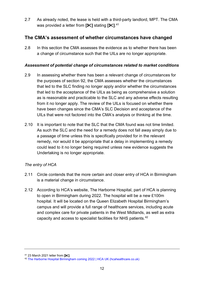2.7 As already noted, the lease is held with a third-party landlord, MPT. The CMA was provided a letter from **[]** stating **[]**. [41](#page-13-2) 

## <span id="page-13-0"></span>**The CMA's assessment of whether circumstances have changed**

2.8 In this section the CMA assesses the evidence as to whether there has been a change of circumstance such that the UILs are no longer appropriate.

## <span id="page-13-1"></span>*Assessment of potential change of circumstances related to market conditions*

- 2.9 In assessing whether there has been a relevant change of circumstances for the purposes of section 92, the CMA assesses whether the circumstances that led to the SLC finding no longer apply and/or whether the circumstances that led to the acceptance of the UILs as being as comprehensive a solution as is reasonable and practicable to the SLC and any adverse effects resulting from it no longer apply. The review of the UILs is focused on whether there have been changes since the CMA's SLC Decision and acceptance of the UILs that were not factored into the CMA's analysis or thinking at the time.
- <span id="page-13-4"></span>2.10 It is important to note that the SLC that the CMA found was not time limited. As such the SLC and the need for a remedy does not fall away simply due to a passage of time unless this is specifically provided for in the relevant remedy, nor would it be appropriate that a delay in implementing a remedy could lead to it no longer being required unless new evidence suggests the Undertaking is no longer appropriate.

## *The entry of HCA*

- 2.11 Circle contends that the more certain and closer entry of HCA in Birmingham is a material change in circumstance.
- 2.12 According to HCA's website, The Harborne Hospital, part of HCA is planning to open in Birmingham during 2022. The hospital will be a new £100m hospital. It will be located on the Queen Elizabeth Hospital Birmingham's campus and will provide a full range of healthcare services, including acute and complex care for private patients in the West Midlands, as well as extra capacity and access to specialist facilities for NHS patients.[42](#page-13-3)

<span id="page-13-3"></span><span id="page-13-2"></span><sup>41 23</sup> March 2021 letter from **[<sup>** $\angle$ **</sup>]**.<br><sup>42</sup> [The Harborne Hospital Birmingham coming 2022 | HCA UK \(hcahealthcare.co.uk\)](https://www.hcahealthcare.co.uk/facilities/hca-uk-birmingham)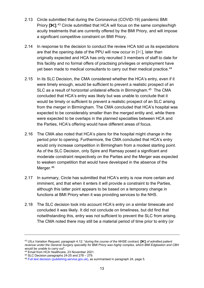- 2.13 Circle submitted that during the Coronavirus (COVID-19) pandemic BMI Priory **[]**. [43](#page-14-0) Circle submitted that HCA will focus on the same complex/high acuity treatments that are currently offered by the BMI Priory, and will impose a significant competitive constraint on BMI Priory.
- 2.14 In response to the decision to conduct the review HCA told us its expectations are that the opening date of the PPU will now occur in  $[\mathcal{K}]$ , later than originally expected and HCA has only recruited 3 members of staff to date for this facility and no formal offers of practising privileges or employment have yet been made to medical consultants to carry out their medical practice. [44](#page-14-1)
- 2.15 In its SLC Decision, the CMA considered whether the HCA's entry, even if it were timely enough, would be sufficient to prevent a realistic prospect of an SLC as a result of horizontal unilateral effects in Birmingham.[45](#page-14-2) The CMA concluded that HCA's entry was likely but was unable to conclude that it would be timely or sufficient to prevent a realistic prospect of an SLC arising from the merger in Birmingham. The CMA concluded that HCA's hospital was expected to be considerably smaller than the merged entity and, while there were expected to be overlaps in the planned specialties between HCA and the Parties, HCA's offering would have different areas of focus.
- 2.16 The CMA also noted that HCA's plans for the hospital might change in the period prior to opening. Furthermore, the CMA concluded that HCA's entry would only increase competition in Birmingham from a modest starting point. As of the SLC Decision, only Spire and Ramsay posed a significant and moderate constraint respectively on the Parties and the Merger was expected to weaken competition that would have developed in the absence of the Merger.<sup>46</sup>
- 2.17 In summary, Circle has submitted that HCA's entry is now more certain and imminent, and that when it enters it will provide a constraint to the Parties, although this latter point appears to be based on a temporary change in functions at BMI Priory when it was providing services to the NHS.
- 2.18 The SLC decision took into account HCA's entry on a similar timescale and concluded it was likely. It did not conclude on timeliness, but did find that notwithstanding this, entry was not sufficient to prevent the SLC from arising. The CMA noted there may still be a material period of time prior to entry (or

<span id="page-14-0"></span><sup>43</sup> UILs Variation Request, paragraph 4.12: "*during the course of the NHSE contract,* **[]** *of admitted patient revenue under the General Surgery speciality for BMI Priory was highly complex, which BMI Edgbaston and CBH* 

<sup>&</sup>lt;sup>44</sup> Email from HCA Healthcare, 23 November 2021.

<span id="page-14-3"></span><span id="page-14-2"></span><span id="page-14-1"></span><sup>&</sup>lt;sup>45</sup> SLC Decision paragraphs 24-25 and 278 – 279.<br><sup>46</sup> [Full text decision \(publishing.service.gov.uk\),](https://assets.publishing.service.gov.uk/media/5ec3e28cd3bf7f5d411ada9c/SLC_full_text_decision.pdf) as summarised in paragraph 24, page 5.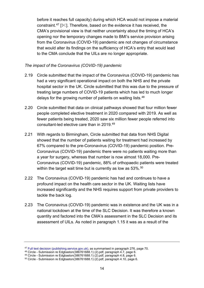before it reaches full capacity) during which HCA would not impose a material constraint.<sup>47</sup>  $\mathbb{R}$ . Therefore, based on the evidence it has received, the CMA's provisional view is that neither uncertainty about the timing of HCA's opening nor the temporary changes made to BMI's service provision arising from the Coronavirus (COVID-19) pandemic are not changes of circumstance that would alter its findings on the sufficiency of HCA's entry that would lead to the CMA conclude that the UILs are no longer appropriate.

#### *The impact of the Coronavirus (COVID-19) pandemic*

- <span id="page-15-4"></span>2.19 Circle submitted that the impact of the Coronavirus (COVID-19) pandemic has had a very significant operational impact on both the NHS and the private hospital sector in the UK. Circle submitted that this was due to the pressure of treating large numbers of COVID-19 patients which has led to much longer delays for the growing number of patients on waiting lists.<sup>[48](#page-15-1)</sup>
- 2.20 Circle submitted that data on clinical pathways showed that four million fewer people completed elective treatment in 2020 compared with 2019. As well as fewer patients being treated, 2020 saw six million fewer people referred into consultant-led elective care than in 2019.[49](#page-15-2)
- <span id="page-15-5"></span>2.21 With regards to Birmingham, Circle submitted that data from NHS Digital showed that the number of patients waiting for treatment had increased by 67% compared to the pre-Coronavirus (COVID-19) pandemic position. Pre-Coronavirus (COVID-19) pandemic there were no patients waiting more than a year for surgery, whereas that number is now almost 18,000. Pre-Coronavirus (COVID-19) pandemic, 88% of orthopaedic patients were treated within the target wait time but is currently as low as 53%.<sup>[50](#page-15-3)</sup>
- 2.22 The Coronavirus (COVID-19) pandemic has had and continues to have a profound impact on the health care sector in the UK. Waiting lists have increased significantly and the NHS requires support from private providers to tackle the back log.
- 2.23 The Coronavirus (COVID-19) pandemic was in existence and the UK was in a national lockdown at the time of the SLC Decision. It was therefore a known quantity and factored into the CMA's assessment in the SLC Decision and its assessment of UILs. As noted in paragraph [1.15](#page-5-10) it was as a result of the

<span id="page-15-0"></span><sup>47</sup> [Full text decision \(publishing.service.gov.uk\),](https://assets.publishing.service.gov.uk/media/5ec3e28cd3bf7f5d411ada9c/SLC_full_text_decision.pdf) as summarised in paragraph 276, page 70.

<span id="page-15-1"></span><sup>48</sup> Circle - Submission re Edgbaston(386761688.1) (2).pdf, paragraph 4.7, page 6.

<span id="page-15-2"></span><sup>49</sup> Circle - Submission re Edgbaston(386761688.1) (2).pdf, paragraph 4.8, page 6.

<span id="page-15-3"></span> $50$  Circle - Submission re Edgbaston(386761688.1) (2).pdf, paragraph 4.10, page 6.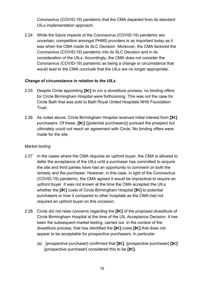Coronavirus (COVID-19) pandemic that the CMA departed from its standard UILs implementation approach.

2.24 While the future impacts of the Coronavirus (COVID-19) pandemic are uncertain, competition amongst PHMS providers is as important today as it was when the CMA made its SLC Decision. Moreover, the CMA factored the Coronavirus (COVID-19) pandemic into its SLC Decision and in its consideration of the UILs. Accordingly, the CMA does not consider the Coronavirus (COVID-19) pandemic as being a change or circumstance that would lead to the CMA conclude that the UILs are no longer appropriate.

### <span id="page-16-0"></span>*Change of circumstance in relation to the UILs*

- 2.25 Despite Circle appointing **[]** to run a divestiture process, no binding offers for Circle Birmingham Hospital were forthcoming. This was not the case for Circle Bath that was sold to Bath Royal United Hospitals NHS Foundation Trust.
- 2.26 As noted above, Circle Birmingham Hospital received initial interest from **[]**  purchasers. Of these, **[]** ([potential purchasers]) pursued the prospect but ultimately could not reach an agreement with Circle. No binding offers were made for the site.

## *Market testing*

- 2.27 In the cases where the CMA requires an upfront buyer, the CMA is allowed to defer the acceptance of the UILs until a purchaser has committed to acquire the site and third parties have had an opportunity to comment on both the remedy and the purchaser. However, in this case, in light of the Coronavirus (COVID-19) pandemic, the CMA agreed it would be impractical to require an upfront buyer. It was not known at the time the CMA accepted the UILs whether the **[]** costs of Circle Birmingham Hospital **[]** to potential purchasers or how it compared to other hospitals as the CMA had not required an upfront buyer on this occasion.
- <span id="page-16-1"></span>2.28 Circle did not raise concerns regarding the **[]** of the proposed divestiture of Circle Birmingham Hospital at the time of the UIL Acceptance Decision. It has been the subsequent market testing, carried out in the context of the divestiture process, that has identified the **[]** costs **[]** that does not appear to be acceptable for prospective purchasers. In particular:
	- *(a)* [prospective purchaser] confirmed that **[]**. [prospective purchaser] **[]**' [prospective purchaser] considered this to be **[]**.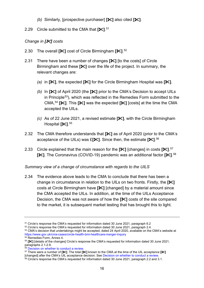- *(b)* Similarly, [prospective purchaser] **[]** also cited **[]**.
- 2.29 Circle submitted to the CMA that **[]**. [51](#page-17-0)

## *Change in [] costs*

- 2.30 The overall **[]** cost of Circle Birmingham **[]**. [52](#page-17-1)
- 2.31 There have been a number of changes **[]** [to the costs] of Circle Birmingham and these **[]** over the life of the project. In summary, the relevant changes are:
	- *(a)* in **[]**, the expected **[]** for the Circle Birmingham Hospital was **[]**.
	- *(b)* In **[]** of April 2020 (the **[]** prior to the CMA's Decision to accept UILs in Principle<sup>53</sup>), which was reflected in the Remedies Form submitted to the CMA,[54](#page-17-3) **[]**. This **[]** was the expected **[]** [costs] at the time the CMA accepted the UILs.
	- *(c)* As of 22 June 2021, a revised estimate **[]**, with the Circle Birmingham Hospital **[]**. [55](#page-17-4)
- 2.32 The CMA therefore understands that **[]** as of April 2020 (prior to the CMA's acceptance of the UILs) was £**[]**. Since then, the estimate **[]**. [56](#page-17-5)
- 2.33 Circle explained that the main reason for the **[]** [changes] in costs **[]**. [57](#page-17-6) **[]**. The Coronavirus (COVID-19) pandemic was an additional factor **[]**. [58](#page-17-7)

## *Summary view of a change of circumstance with regards to the UILS*

2.34 The evidence above leads to the CMA to conclude that there has been a change in circumstance in relation to the UILs on two fronts. Firstly, the **[]**  costs at Circle Birmingham have **[]** [changed] by a material amount since the CMA accepted the UILs. In addition, at the time of the UILs Acceptance Decision, the CMA was not aware of how the **[]** costs of the site compared to the market, it is subsequent market testing that has brought this to light.

<span id="page-17-0"></span><sup>51</sup> Circle's response the CMA's requested for information dated 30 June 2021, paragraph 6.2

<span id="page-17-1"></span><sup>&</sup>lt;sup>52</sup> Circle's response the CMA's requested for information dated 30 June 2021, paragraph 2.4.

<span id="page-17-2"></span><sup>53</sup> CMA's decision that undertakings might be accepted, dated 24 April 2020, available on the CMA's website at <https://www.gov.uk/cma-cases/circle-health-bmi-healthcare-merger-inquiry>54 Remedies Form, Annex 4.

<span id="page-17-4"></span><span id="page-17-3"></span><sup>55</sup> **[]** [details of the changes] Circle's response the CMA's requested for information dated 30 June 2021, paragraphs 2.1-2.8.<br><sup>56</sup> Decision on whether to conduct a review.

<span id="page-17-6"></span><span id="page-17-5"></span><sup>57</sup> There were a number of  $[\mathcal{K}]$ . The total  $[\mathcal{K}]$  known to the CMA at the time of the UIL acceptance  $[\mathcal{K}]$ For the CMA's UIL acceptance decision. See [Decision on whether to conduct a review.](https://assets.publishing.service.gov.uk/media/616ec1a08fa8f52981d40dbb/Version_for_case_page_-_Decision_on_whether_to_conduct_a_review_191021_.pdf)<br>
<sup>58</sup> Circle's response the CMA's requested for information dated 30 June 2021, paragraph 2.2 and 3.1.

<span id="page-17-7"></span>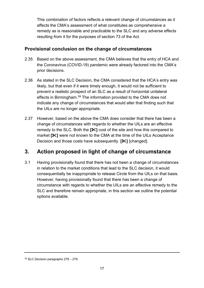This combination of factors reflects a relevant change of circumstances as it affects the CMA's assessment of what constitutes as comprehensive a remedy as is reasonable and practicable to the SLC and any adverse effects resulting from it for the purposes of section 73 of the Act.

## <span id="page-18-0"></span>**Provisional conclusion on the change of circumstances**

- 2.35 Based on the above assessment, the CMA believes that the entry of HCA and the Coronavirus (COVID-19) pandemic were already factored into the CMA's prior decisions.
- 2.36 As stated in the SLC Decision, the CMA considered that the HCA's entry was likely, but that even if it were timely enough, it would not be sufficient to prevent a realistic prospect of an SLC as a result of horizontal unilateral effects in Birmingham.[59](#page-18-2) The information provided to the CMA does not indicate any change of circumstances that would alter that finding such that the UILs are no longer appropriate.
- 2.37 However, based on the above the CMA does consider that there has been a change of circumstances with regards to whether the UILs are an effective remedy to the SLC. Both the **[]** cost of the site and how this compared to market **[]** were not known to the CMA at the time of the UILs Acceptance Decision and those costs have subsequently **[]** [changed].

# <span id="page-18-1"></span>**3. Action proposed in light of change of circumstance**

3.1 Having provisionally found that there has not been a change of circumstances in relation to the market conditions that lead to the SLC decision, it would consequentially be inappropriate to release Circle from the UILs on that basis. However, having provisionally found that there has been a change of circumstance with regards to whether the UILs are an effective remedy to the SLC and therefore remain appropriate, in this section we outline the potential options available.

<span id="page-18-2"></span><sup>59</sup> SLC Decision paragraphs 278 – 279.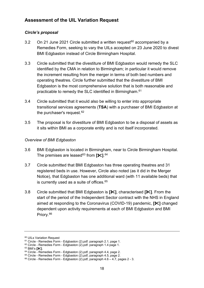## <span id="page-19-0"></span>**Assessment of the UIL Variation Request**

#### <span id="page-19-1"></span>*Circle's proposal*

- 3.2 On 21 June 2021 Circle submitted a written request<sup>[60](#page-19-2)</sup> accompanied by a Remedies Form, seeking to vary the UILs accepted on 23 June 2020 to divest BMI Edgbaston instead of Circle Birmingham Hospital.
- 3.3 Circle submitted that the divestiture of BMI Edgbaston would remedy the SLC identified by the CMA in relation to Birmingham; in particular it would remove the increment resulting from the merger in terms of both bed numbers and operating theatres. Circle further submitted that the divestiture of BMI Edgbaston is the most comprehensive solution that is both reasonable and practicable to remedy the SLC identified in Birmingham.[61](#page-19-3)
- 3.4 Circle submitted that it would also be willing to enter into appropriate transitional services agreements (**TSA**) with a purchaser of BMI Edgbaston at the purchaser's request.<sup>[62](#page-19-4)</sup>
- 3.5 The proposal is for divestiture of BMI Edgbaston to be a disposal of assets as it sits within BMI as a corporate entity and is not itself incorporated.

#### *Overview of BMI Edgbaston*

- 3.6 BMI Edgbaston is located in Birmingham, near to Circle Birmingham Hospital. The premises are lease[d63](#page-19-5) from **[]**. [64](#page-19-6)
- 3.7 Circle submitted that BMI Edgbaston has three operating theatres and 31 registered beds in use. However, Circle also noted (as it did in the Merger Notice), that Edgbaston has one additional ward (with 11 available beds) that is currently used as a suite of offices. $65$
- 3.8 Circle submitted that BMI Edgbaston is **[]**, characterised **[]**. From the start of the period of the Independent Sector contract with the NHS in England aimed at responding to the Coronavirus (COVID-19) pandemic, **[]** changed dependent upon activity requirements at each of BMI Edgbaston and BMI Priory.[66](#page-19-8)

<span id="page-19-2"></span><sup>60</sup> UILs Variation Request

<span id="page-19-3"></span><sup>&</sup>lt;sup>61</sup> Circle - Remedies Form - Edgbaston (2).pdf. paragraph 2.1, page 1.

<span id="page-19-4"></span> $62$  Circle - Remedies Form - Edgbaston (2).pdf. paragraph 1.4 page 1.<br> $63$  BMI's **I**<sup>S</sup>I.

<span id="page-19-6"></span><span id="page-19-5"></span><sup>&</sup>lt;sup>64</sup> Circle - Remedies Form - Edgbaston (2).pdf, paragraph 4.4, page 2.<br><sup>65</sup> Circle - Remedies Form - Edgbaston (2).pdf, paragraph 4.5, page 2.

<span id="page-19-8"></span><span id="page-19-7"></span> $66$  Circle - Remedies Form - Edgbaston (2).pdf, paragraph  $4.6 - 4.7$ , pages  $2 - 3$ .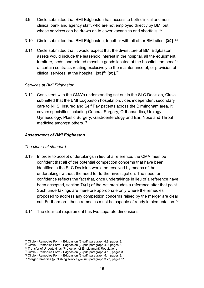- 3.9 Circle submitted that BMI Edgbaston has access to both clinical and nonclinical bank and agency staff, who are not employed directly by BMI but whose services can be drawn on to cover vacancies and shortfalls. <sup>[67](#page-20-1)</sup>
- 3.10 Circle submitted that BMI Edgbaston, together with all other BMI sites, **[]**. [68](#page-20-2)
- 3.11 Circle submitted that it would expect that the divestiture of BMI Edgbaston assets would include the leasehold interest in the hospital, all the equipment, furniture, beds, and related movable goods located at the hospital, the benefit of certain contracts relating exclusively to the maintenance of, or provision of clinical services, at the hospital. **[]**[69](#page-20-3) **[]**. [70](#page-20-4)

## *Services at BMI Edgbaston*

3.12 Consistent with the CMA's understanding set out in the SLC Decision, Circle submitted that the BMI Edgbaston hospital provides independent secondary care to NHS, Insured and Self Pay patients across the Birmingham area. It covers specialties including General Surgery, Orthopaedics, Urology, Gynaecology, Plastic Surgery, Gastroenterology and Ear, Nose and Throat medicine amongst others.[71](#page-20-5)

## <span id="page-20-0"></span>*Assessment of BMI Edgbaston*

### *The clear-cut standard*

- 3.13 In order to accept undertakings in lieu of a reference, the CMA must be confident that all of the potential competition concerns that have been identified in the SLC Decision would be resolved by means of the undertakings without the need for further investigation. The need for confidence reflects the fact that, once undertakings in lieu of a reference have been accepted, section 74(1) of the Act precludes a reference after that point. Such undertakings are therefore appropriate only where the remedies proposed to address any competition concerns raised by the merger are clear cut. Furthermore, those remedies must be capable of ready implementation.<sup>[72](#page-20-6)</sup>
- 3.14 The clear-cut requirement has two separate dimensions:

<sup>&</sup>lt;sup>67</sup> Circle - Remedies Form - Edgbaston (2).pdf, paragraph 4.8, pages 3.

<span id="page-20-3"></span><span id="page-20-2"></span><span id="page-20-1"></span> $68$  Circle - Remedies Form - Edgbaston (2).pdf, paragraph 4.9, pages 3.<br> $69$  Transfer of Undertakings (Protection of Employment) Regulations

<span id="page-20-4"></span><sup>70</sup> Circle - Remedies Form - Edgbaston (2).pdf, paragraph 4.10, pages 3.

<span id="page-20-5"></span><sup>71</sup> Circle - Remedies Form - Edgbaston (2).pdf, paragraph 5.1, pages 3.

<span id="page-20-6"></span><sup>72</sup> Merger remedies (publishing.service.gov.uk) paragraph 3.27, pages 11.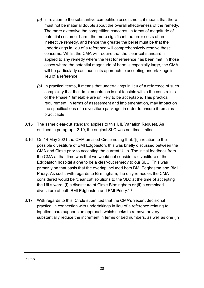- *(a)* in relation to the substantive competition assessment, it means that there must not be material doubts about the overall effectiveness of the remedy. The more extensive the competition concerns, in terms of magnitude of potential customer harm, the more significant the error costs of an ineffective remedy, and hence the greater the belief must be that the undertakings in lieu of a reference will comprehensively resolve those concerns. Whilst the CMA will require that the clear-cut standard is applied to any remedy where the test for reference has been met, in those cases where the potential magnitude of harm is especially large, the CMA will be particularly cautious in its approach to accepting undertakings in lieu of a reference.
- *(b)* In practical terms, it means that undertakings in lieu of a reference of such complexity that their implementation is not feasible within the constraints of the Phase 1 timetable are unlikely to be acceptable. This practical requirement, in terms of assessment and implementation, may impact on the specifications of a divestiture package, in order to ensure it remains practicable.
- 3.15 The same clear-cut standard applies to this UIL Variation Request. As outlined in paragraph [2.10,](#page-13-4) the original SLC was not time limited.
- 3.16 On 14 May 2021 the CMA emailed Circle noting that: '[i]n relation to the possible divestiture of BMI Edgbaston, this was briefly discussed between the CMA and Circle prior to accepting the current UILs. The initial feedback from the CMA at that time was that we would not consider a divestiture of the Edgbaston hospital alone to be a clear-cut remedy to our SLC. This was primarily on that basis that the overlap included both BMI Edgbaston and BMI Priory. As such, with regards to Birmingham, the only remedies the CMA considered would be 'clear cut' solutions to the SLC at the time of accepting the UILs were: (i) a divestiture of Circle Birmingham or (ii) a combined divestiture of both BMI Edgbaston and BMI Priory.' [73](#page-21-0)
- 3.17 With regards to this, Circle submitted that the CMA's 'recent decisional practice' in connection with undertakings in lieu of a reference relating to inpatient care supports an approach which seeks to remove or very substantially reduce the increment in terms of bed numbers, as well as one (in

<span id="page-21-0"></span><sup>73</sup> Email.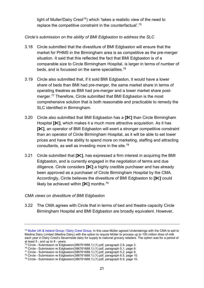light of Muller/Dairy Crest<sup>[74](#page-22-0)</sup>) which 'takes a realistic view of the need to replace the competitive constraint in the counterfactual'.[75](#page-22-1)

## *Circle's submission on the ability of BMI Edgbaston to address the SLC*

- 3.18 Circle submitted that the divestiture of BMI Edgbaston will ensure that the market for PHMS in the Birmingham area is as competitive as the pre-merger situation. It said that this reflected the fact that BMI Edgbaston is of a comparable size to Circle Birmingham Hospital, is larger in terms of number of beds, and is focussed on the same specialities.[76](#page-22-2)
- 3.19 Circle also submitted that, if it sold BMI Edgbaston, it would have a lower share of beds than BMI had pre-merger, the same market share in terms of operating theatres as BMI had pre-merger and a lower market share post-merger.<sup>[77](#page-22-3)</sup> Therefore, Circle submitted that BMI Edgbaston is the most comprehensive solution that is both reasonable and practicable to remedy the SLC identified in Birmingham.
- 3.20 Circle also submitted that BMI Edgbaston has a **[]** than Circle Birmingham Hospital **[]**, which makes it a much more attractive acquisition. As it has **[]**, an operator of BMI Edgbaston will exert a stronger competitive constraint than an operator of Circle Birmingham Hospital, as it will be able to set lower prices and have the ability to spend more on marketing, staffing and attracting consultants, as well as investing more in the site.<sup>[78](#page-22-4)</sup>
- 3.21 Circle submitted that **[]**, has expressed a firm interest in acquiring the BMI Edgbaston, and is currently engaged in the negotiation of terms and due diligence. Circle considers **[]** a highly credible purchaser and has already been approved as a purchaser of Circle Birmingham Hospital by the CMA. Accordingly, Circle believes the divestiture of BMI Edgbaston to **[]** could likely be achieved within **[]** months. [79](#page-22-5)

### *CMA views on divestiture of BMI Edgbaston*

3.22 The CMA agrees with Circle that in terms of bed and theatre capacity Circle Birmingham Hospital and BMI Edgbaston are broadly equivalent. However,

<span id="page-22-0"></span><sup>74</sup> [Muller UK & Ireland Group / Dairy Crest Group.](https://www.gov.uk/cma-cases/muller-uk-ireland-group-llp-dairy-crest-group-plc-merger-inquiry) In this case Müller agreed Undertakings with the CMA to sell to Medina Dairy Limited (Medina Dairy) with the option to require Müller to process up to 100 million litres of milk each year in Dairy Crest's Severnside dairy for supply to national grocery retailers. The option was for a period of at least 5 - and up to 8 - years.

<span id="page-22-1"></span><sup>&</sup>lt;sup>75</sup> Circle - Submission re Edgbaston(386761688.1) (1).pdf, paragraph 2.9, page 3.<br><sup>76</sup> Circle - Submission re Edgbaston(386761688.1) (1).pdf, paragraph 5.1, page 9.

<span id="page-22-3"></span><span id="page-22-2"></span><sup>76</sup> Circle - Submission re Edgbaston(386761688.1) (1).pdf, paragraph 5.1, page 9. 77 Circle - Submission re Edgbaston(386761688.1) (1).pdf, paragraph 5.2, page 9.

<span id="page-22-4"></span><sup>78</sup> Circle - Submission re Edgbaston(386761688.1) (1).pdf, paragraph 6.5, page 10.

<span id="page-22-5"></span><sup>79</sup> Circle - Submission re Edgbaston(386761688.1) (1).pdf, paragraph 6.9, page 10.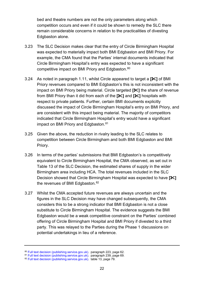bed and theatre numbers are not the only parameters along which competition occurs and even if it could be shown to remedy the SLC there remain considerable concerns in relation to the practicalities of divesting Edgbaston alone.

- 3.23 The SLC Decision makes clear that the entry of Circle Birmingham Hospital was expected to materially impact both BMI Edgbaston and BMI Priory. For example, the CMA found that the Parties' internal documents indicated that Circle Birmingham Hospital's entry was expected to have a significant competitive impact on BMI Priory and Edgbaston.<sup>[80](#page-23-0)</sup>
- 3.24 As noted in paragraph [1.11,](#page-4-2) whilst Circle appeared to target a **[]** of BMI Priory revenues compared to BMI Edgbaston's this is not inconsistent with the impact on BMI Priory being material. Circle targeted **[]** the share of revenue from BMI Priory than it did from each of the **[]** and **[]** hospitals with respect to private patients. Further, certain BMI documents explicitly discussed the impact of Circle Birmingham Hospital's entry on BMI Priory, and are consistent with this impact being material. The majority of competitors indicated that Circle Birmingham Hospital's entry would have a significant impact on BMI Priory and Edgbaston. [81](#page-23-1)
- 3.25 Given the above, the reduction in rivalry leading to the SLC relates to competition between Circle Birmingham and both BMI Edgbaston and BMI Priory.
- 3.26 In terms of the parties' submissions that BMI Edgbaston's is competitively equivalent to Circle Birmingham Hospital, the CMA observed, as set out in Table 13 of the SLC Decision, the estimated shares of supply in the wider Birmingham area including HCA. The total revenues included in the SLC Decision showed that Circle Birmingham Hospital was expected to have **[]** the revenues of BMI Edgbaston.<sup>[82](#page-23-2)</sup>
- 3.27 Whilst the CMA accepted future revenues are always uncertain and the figures in the SLC Decision may have changed subsequently, the CMA considers this to be a strong indicator that BMI Edgbaston is not a close substitute to Circle Birmingham Hospital. The evidence suggests the BMI Edgbaston would be a weak competitive constraint on the Parties' combined offering of Circle Birmingham Hospital and BMI Priory if divested to a third party. This was relayed to the Parties during the Phase 1 discussions on potential undertakings in lieu of a reference.

<span id="page-23-0"></span><sup>&</sup>lt;sup>80</sup> [Full text decision \(publishing.service.gov.uk\).](https://assets.publishing.service.gov.uk/media/5ec3e28cd3bf7f5d411ada9c/SLC_full_text_decision.pdf) paragraph 223, page 62.<br><sup>81</sup> Full text decision (publishing.service.gov.uk). paragraph 239, page 69.

<span id="page-23-1"></span>

<span id="page-23-2"></span><sup>82</sup> [Full text decision \(publishing.service.gov.uk\).](https://assets.publishing.service.gov.uk/media/5ec3e28cd3bf7f5d411ada9c/SLC_full_text_decision.pdf) table 13, page 79.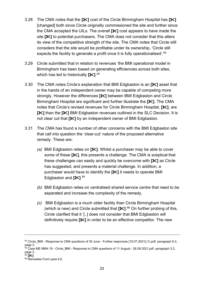- 3.28 The CMA notes that the **[]** cost of the Circle Birmingham Hospital has **[]** [changed] both since Circle originally commissioned the site and further since the CMA accepted the UILs. The overall **[]** cost appears to have made the site **[** $\mathbb{\times}$ ] to potential purchasers. The CMA does not consider that this alters its view of the competitive strength of the site. The CMA notes that Circle still considers that the site would be profitable under its ownership, 'Circle still expects the facility to generate a profit once it is fully operationalised'.<sup>[83](#page-24-0)</sup>
- 3.29 Circle submitted that in relation to revenues 'the BMI operational model in Birmingham has been based on generating efficiencies across both sites, which has led to historically **[]**. [84](#page-24-1)
- 3.30 The CMA notes Circle's explanation that BMI Edgbaston is an **[]** asset that in the hands of an independent owner may be capable of competing more strongly. However the differences **[]** between BMI Edgbaston and Circle Birmingham Hospital are significant and further illustrate the **[]**. The CMA notes that Circle's revised revenues for Circle Birmingham Hospital, **[]**, are **[** $|$ **i** than the  $|$  $|$   $|$  BMI Edgbaston revenues outlined in the SLC Decision. It is not clear cut that **[]** by an independent owner of BMI Edgbaston.
- <span id="page-24-4"></span>3.31 The CMA has found a number of other concerns with the BMI Edgbaston site that call into question the 'clear-cut' nature of the proposed alternative remedy. These are:
	- *(a)* BMI Edgbaston relies on **[]**. Whilst a purchaser may be able to cover some of these **[]**, this presents a challenge. The CMA is sceptical that these challenges can easily and quickly be overcome with **[]** as Circle has suggested, and presents a material challenge. In addition, a purchaser would have to identify the **[]** it needs to operate BMI Edgbaston and **[]**. [85](#page-24-2)
	- *(b)* BMI Edgbaston relies on centralised shared service centre that need to be separated and increase the complexity of the remedy.
	- *(c)* BMI Edgbaston is a much older facility than Circle Birmingham Hospital (which is new) and Circle submitted that **[]**. [86](#page-24-3) On further probing of this, Circle clarified that it '[..] does not consider that BMI Edgbaston will definitively require **[]** in order to be an effective competitor. The new

<span id="page-24-1"></span><sup>84</sup> Case ME 6864.19 - Circle\_BMI - Response to CMA questions of 11 August - 26.08.2021.pdf. paragraph 3.2, page 3.<br><sup>85</sup> **[**<del></del>*்*√].

<span id="page-24-0"></span><sup>83</sup> Circle\_BMI - Response to CMA questions of 30 June - Further responses [15.07.2021] (1).pdf. paragraph 6.2, page 3.

<span id="page-24-3"></span><span id="page-24-2"></span><sup>85</sup> **[]**. 86 Remedies Form para 6.6.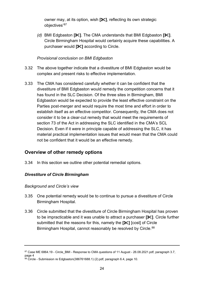owner may, at its option, wish **[]**, reflecting its own strategic objectives'[87](#page-25-2)

*(d)* BMI Edgbaston **[]**. The CMA understands that BMI Edgbaston **[]**. Circle Birmingham Hospital would certainly acquire these capabilities. A purchaser would **[]** according to Circle.

### *Provisional conclusion on BMI Edgbaston*

- <span id="page-25-4"></span>3.32 The above together indicate that a divestiture of BMI Edgbaston would be complex and present risks to effective implementation.
- 3.33 The CMA has considered carefully whether it can be confident that the divestiture of BMI Edgbaston would remedy the competition concerns that it has found in the SLC Decision. Of the three sites in Birmingham, BMI Edgbaston would be expected to provide the least effective constraint on the Parties post-merger and would require the most time and effort in order to establish itself as an effective competitor. Consequently, the CMA does not consider it to be a clear-cut remedy that would meet the requirements of section 73 of the Act in addressing the SLC identified in the CMA's SCL Decision. Even if it were in principle capable of addressing the SLC, it has material practical implementation issues that would mean that the CMA could not be confident that it would be an effective remedy.

## <span id="page-25-0"></span>**Overview of other remedy options**

<span id="page-25-5"></span>3.34 In this section we outline other potential remedial options.

### <span id="page-25-1"></span>*Divestiture of Circle Birmingham*

#### *Background and Circle's view*

- 3.35 One potential remedy would be to continue to pursue a divestiture of Circle Birmingham Hospital.
- 3.36 Circle submitted that the divestiture of Circle Birmingham Hospital has proven to be impracticable and it was unable to attract a purchaser **[]**. Circle further submitted that the reasons for this, namely the **[]** [cost] of Circle Birmingham Hospital, cannot reasonably be resolved by Circle.<sup>[88](#page-25-3)</sup>

<span id="page-25-2"></span><sup>87</sup> Case ME 6864.19 - Circle BMI - Response to CMA questions of 11 August - 26.08.2021.pdf, paragraph 3.7, page 4

<span id="page-25-3"></span> $88$  Circle - Submission re Edgbaston(386761688.1) (2).pdf, paragraph 6.4, page 10.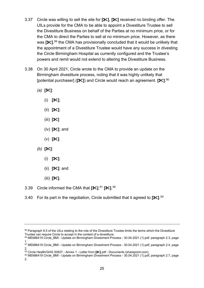- <span id="page-26-0"></span>3.37 Circle was willing to sell the site for **[]**, **[]** received no binding offer. The UILs provide for the CMA to be able to appoint a Divestiture Trustee to sell the Divestiture Business on behalf of the Parties at no minimum price, or for the CMA to direct the Parties to sell at no minimum price. However, as there was **[</del>ᢟ]**,<sup>[89](#page-26-1)</sup> the CMA has provisionally concluded that it would be unlikely that the appointment of a Divestiture Trustee would have any success in divesting the Circle Birmingham Hospital as currently configured and the Trustee's powers and remit would not extend to altering the Divestiture Business.
- 3.38 On 30 April 2021, Circle wrote to the CMA to provide an update on the Birmingham divestiture process, noting that it was highly unlikely that [potential purchaser] (**[]**) and Circle would reach an agreement. **[]**: [90](#page-26-2)
	- *(a)* **[]**:
		- (i) **[]**;
		- (ii) **[]**;
		- (iii) **[]**
		- (iv) **[]**; and
		- (v) **[]**.
	- *(b)* **[]**:
		- (i) **[]**;
		- (ii) **[]**; and
		- (iii) **[]**.
- 3.39 Circle informed the CMA that **[]**. [91](#page-26-3) **[]**. [92](#page-26-4)
- 3.40 For its part in the negotiation, Circle submitted that it agreed to **[]**. [93](#page-26-5)

<span id="page-26-1"></span><sup>89</sup> Paragraph 8.5 of the UILs relating to the role of the Divestiture Trustee limits the terms which the Divestiture Trustee can require Circle to accept in the context of a divestiture.

<span id="page-26-2"></span><sup>90</sup> ME686419 Circle BMI - Update on Birmingham Divestment Process - 30.04.2021 (1).pdf. paragraph 2.3, page 1.

<span id="page-26-3"></span><sup>&</sup>lt;sup>91</sup> ME686419 Circle\_BMI - Update on Birmingham Divestment Process - 30.04.2021 (1).pdf, paragraph 2.4, page 2.<br><sup>92</sup> Circle Health/GHG 50837 - Annex 1 - Letter from [**\***].pdf - Documents (sharepoint.com).

<span id="page-26-5"></span><span id="page-26-4"></span><sup>&</sup>lt;sup>93</sup> ME686419 Circle BMI - Update on Birmingham Divestment Process - 30.04.2021 (1).pdf, paragraph 2.7, page 2.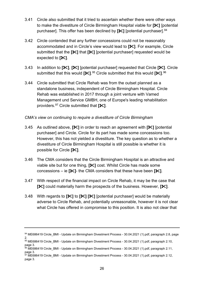- 3.41 Circle also submitted that it tried to ascertain whether there were other ways to make the divestiture of Circle Birmingham Hospital viable for **[]** [potential purchaser]. This offer has been declined by **[]** [potential purchaser]. [94](#page-27-0)
- 3.42 Circle contended that any further concessions could not be reasonably accommodated and in Circle's view would lead to **[]**. For example, Circle submitted that the **[]** that **[]** [potential purchaser] requested would be expected to **[]**.
- 3.43 In addition to **[]**, **[]** [potential purchaser] requested that Circle **[]**. Circle submitted that this would **[]**. [95](#page-27-1) Circle submitted that this would **[]**. [96](#page-27-2)
- 3.44 Circle submitted that Circle Rehab was from the outset planned as a standalone business, independent of Circle Birmingham Hospital. Circle Rehab was established in 2017 through a joint venture with Vamed Management und Service GMBH, one of Europe's leading rehabilitation providers.[97](#page-27-3) Circle submitted that **[]**.

### *CMA's view on continuing to require a divestiture of Circle Birmingham*

- 3.45 As outlined above, **[]** in order to reach an agreement with **[]** [potential purchaser] and Circle. Circle for its part has made some concessions too. However, this has not yielded a divestiture. The key question as to whether a divestiture of Circle Birmingham Hospital is still possible is whether it is possible for Circle **[]**.
- 3.46 The CMA considers that the Circle Birmingham Hospital is an attractive and viable site but for one thing, **[]** cost. Whilst Circle has made some concessions – ie **[]**- the CMA considers that these have been **[]**.
- 3.47 With respect of the financial impact on Circle Rehab, it may be the case that **[** $\mathbb{X}$ ] could materially harm the prospects of the business. However,  $\mathbb{I}\mathbb{X}$ ].
- 3.48 With regards to **[]** to **[] []** [potential purchaser] would be materially adverse to Circle Rehab, and potentially unreasonable, however it is not clear what Circle has offered in compromise to this position. It is also not clear that

<span id="page-27-0"></span><sup>94</sup> ME686419 Circle BMI - Update on Birmingham Divestment Process - 30.04.2021 (1).pdf, paragraph 2.8, page 2.

<span id="page-27-1"></span><sup>95</sup> ME686419 Circle\_BMI - Update on Birmingham Divestment Process - 30.04.2021 (1).pdf, paragraph 2.10, page 3.

<span id="page-27-2"></span> $^{96}$  ME686419 Circle\_BMI - Update on Birmingham Divestment Process - 30.04.2021 (1).pdf, paragraph 2.11, page 3.

<span id="page-27-3"></span><sup>&</sup>lt;sup>97</sup> ME686419 Circle\_BMI - Update on Birmingham Divestment Process - 30.04.2021 (1).pdf, paragraph 2.12, page 3.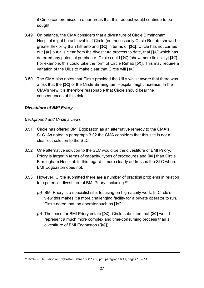if Circle compromised in other areas that this request would continue to be sought.

- 3.49 On balance, the CMA considers that a divestiture of Circle Birmingham Hospital might be achievable if Circle (not necessarily Circle Rehab) showed greater flexibility than hitherto and **[]** in terms of **[]**. Circle has not carried out **[]** but it is clear from the divestiture process to date, that **[]** which has deterred any potential purchaser. Circle could **[]** [show more flexibility] **[]**. For example, this could take the form of Circle Rehab **[]**. This may require a variation of the UILs to make clear that Circle will **[]**.
- 3.50 The CMA also notes that Circle provided the UILs whilst aware that there was a risk that the **[]** of the Circle Birmingham Hospital might increase. In the CMA's view it is therefore reasonable that Circle should bear the consequences of this risk.

## <span id="page-28-0"></span>*Divestiture of BMI Priory*

#### *Background and Circle's views*

- 3.51 Circle has offered BMI Edgbaston as an alternative remedy to the CMA's SLC. As noted in paragraph [3.32](#page-25-4) the CMA considers that this site is not a clear-cut solution to the SLC.
- 3.52 One alternative solution to the SLC would be the divestiture of BMI Priory. Priory is larger in terms of capacity, types of procedures and **[]** than Circle Birmingham Hospital. In this regard it more clearly addresses the SLC where BMI Edgbaston does not.
- 3.53 However, Circle submitted there are a number of practical problems in relation to a potential divestiture of BMI Priory, including: [98](#page-28-1)
	- *(a)* BMI Priory is a specialist site, focusing on high-acuity work. In Circle's view this makes it a more challenging facility for a private operator to run. Circle noted that, an operator such as **[]**.
	- *(b)* The lease for BMI Priory estate **[]**. Circle submitted that **[]** would represent a much more complex and time-consuming process than a divestiture of BMI Edgbaston (**[]**).

<span id="page-28-1"></span> $98$  Circle - Submission re Edgbaston(386761688.1) (2).pdf, paragraph 6.11, pages 10 – 11.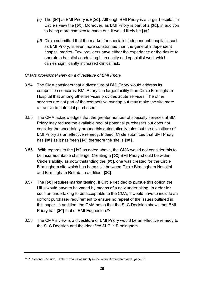- *(c)* The **[]** at BMI Priory is £**[]**. Although BMI Priory is a larger hospital, in Circle's view the **[]**. Moreover, as BMI Priory is part of a **[]**, in addition to being more complex to carve out, it would likely be **[]**.
- *(d)* Circle submitted that the market for specialist independent hospitals, such as BMI Priory, is even more constrained than the general independent hospital market. Few providers have either the experience or the desire to operate a hospital conducting high acuity and specialist work which carries significantly increased clinical risk.

### *CMA's provisional view on a divestiture of BMI Priory*

- 3.54 The CMA considers that a divestiture of BMI Priory would address its competition concerns. BMI Priory is a larger facility than Circle Birmingham Hospital that among other services provides acute services. The other services are not part of the competitive overlap but may make the site more attractive to potential purchasers.
- 3.55 The CMA acknowledges that the greater number of specialty services at BMI Priory may reduce the available pool of potential purchasers but does not consider the uncertainty around this automatically rules out the divestiture of BMI Priory as an effective remedy. Indeed, Circle submitted that BMI Priory has **[]** as it has been **[]** therefore the site is **[]**.
- 3.56 With regards to the **[]** as noted above, the CMA would not consider this to be insurmountable challenge. Creating a **[]** BMI Priory should be within Circle's ability, as notwithstanding the **[]**, one was created for the Circle Birmingham site which has been split between Circle Birmingham Hospital and Birmingham Rehab. In addition, **[]**.
- 3.57 The **[]** requires market testing. If Circle decided to pursue this option the UILs would have to be varied by means of a new undertaking. In order for such an undertaking to be acceptable to the CMA, it would have to include an upfront purchaser requirement to ensure no repeat of the issues outlined in this paper. In addition, the CMA notes that the SLC Decision shows that BMI Priory has [ $\mathcal{K}$ ] that of BMI Edgbaston.<sup>[99](#page-29-0)</sup>
- 3.58 The CMA's view is a divestiture of BMI Priory would be an effective remedy to the SLC Decision and the identified SLC in Birmingham.

<span id="page-29-0"></span> $99$  Phase one Decision, Table 8: shares of supply in the wider Birmingham area, page 57.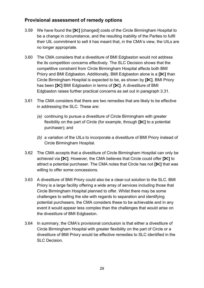## <span id="page-30-0"></span>**Provisional assessment of remedy options**

- 3.59 We have found the **[]** [changed] costs of the Circle Birmingham Hospital to be a change in circumstance, and the resulting inability of the Parties to fulfil their UIL commitment to sell it has meant that, in the CMA's view, the UILs are no longer appropriate.
- 3.60 The CMA considers that a divestiture of BMI Edgbaston would not address the its competition concerns effectively. The SLC Decision shows that the competitive constraint from Circle Birmingham Hospital affects both BMI Priory and BMI Edgbaston. Additionally, BMI Edgbaston alone is a **[]** than Circle Birmingham Hospital is expected to be, as shown by **[]**. BMI Priory has been **[]** BMI Edgbaston in terms of **[]**. A divestiture of BMI Edgbaston raises further practical concerns as set out in paragraph [3.31.](#page-24-4)
- 3.61 The CMA considers that there are two remedies that are likely to be effective in addressing the SLC. These are:
	- *(a)* continuing to pursue a divestiture of Circle Birmingham with greater flexibility on the part of Circle (for example, through **[]** to a potential purchaser); and
	- *(b)* a variation of the UILs to incorporate a divestiture of BMI Priory instead of Circle Birmingham Hospital.
- 3.62 The CMA accepts that a divestiture of Circle Birmingham Hospital can only be achieved via **[]**. However, the CMA believes that Circle could offer **[]** to attract a potential purchaser. The CMA notes that Circle has not **[]** that was willing to offer some concessions.
- 3.63 A divestiture of BMI Priory could also be a clear-cut solution to the SLC. BMI Priory is a large facility offering a wide array of services including those that Circle Birmingham Hospital planned to offer. Whilst there may be some challenges to selling the site with regards to separation and identifying potential purchasers, the CMA considers these to be achievable and in any event it would appear less complex than the challenges that would arise on the divestiture of BMI Edgbaston.
- <span id="page-30-1"></span>3.64 In summary, the CMA's provisional conclusion is that either a divestiture of Circle Birmingham Hospital with greater flexibility on the part of Circle or a divestiture of BMI Priory would be effective remedies to SLC identified in the SLC Decision.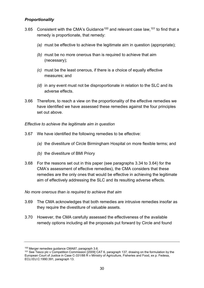## <span id="page-31-0"></span>*Proportionality*

- 3.65 Consistent with the CMA's Guidance<sup>[100](#page-31-1)</sup> and relevant case law,  $101$  to find that a remedy is proportionate, that remedy:
	- *(a)* must be effective to achieve the legitimate aim in question (appropriate);
	- *(b)* must be no more onerous than is required to achieve that aim (necessary);
	- *(c)* must be the least onerous, if there is a choice of equally effective measures; and
	- *(d)* in any event must not be disproportionate in relation to the SLC and its adverse effects.
- 3.66 Therefore, to reach a view on the proportionality of the effective remedies we have identified we have assessed these remedies against the four principles set out above.

#### *Effective to achieve the legitimate aim in question*

- 3.67 We have identified the following remedies to be effective:
	- *(a)* the divestiture of Circle Birmingham Hospital on more flexible terms; and
	- *(b)* the divestiture of BMI Priory
- 3.68 For the reasons set out in this paper (see paragraphs [3.34](#page-25-5) to [3.64\)](#page-30-1) for the CMA's assessment of effective remedies), the CMA considers that these remedies are the only ones that would be effective in achieving the legitimate aim of effectively addressing the SLC and its resulting adverse effects.

#### *No more onerous than is required to achieve that aim*

- 3.69 The CMA acknowledges that both remedies are intrusive remedies insofar as they require the divestiture of valuable assets.
- 3.70 However, the CMA carefully assessed the effectiveness of the available remedy options including all the proposals put forward by Circle and found

<span id="page-31-2"></span><span id="page-31-1"></span><sup>&</sup>lt;sup>100</sup> Merger remedies guidance CMA87, paragraph 3.6.<br><sup>101</sup> See Tesco plc v Competition Commission [2009] CAT 6, paragraph 137, drawing on the formulation by the European Court of Justice in Case C-331/88 R v Ministry of Agriculture, Fisheries and Food, ex p. Fedesa, ECLI:EU:C:1990:391, paragraph 13.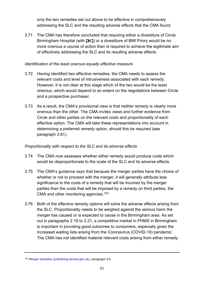only the two remedies set out above to be effective in comprehensively addressing the SLC and the resulting adverse effects that the CMA found.

3.71 The CMA has therefore concluded that requiring either a divestiture of Circle Birmingham Hospital (with **[]**) or a divestiture of BMI Priory would be no more onerous a course of action than is required to achieve the legitimate aim of effectively addressing the SLC and its resulting adverse effects.

#### *Identification of the least onerous equally effective measure*

- 3.72 Having identified two effective remedies, the CMA needs to assess the relevant costs and level of intrusiveness associated with each remedy. However, it is not clear at this stage which of the two would be the least onerous, which would depend to an extent on the negotiations between Circle and a prospective purchaser.
- 3.73 As a result, the CMA's provisional view is that neither remedy is clearly more onerous than the other. The CMA invites views and further evidence from Circle and other parties on the relevant costs and proportionality of each effective option. The CMA will take these representations into account in determining a preferred remedy option, should this be required (see paragraph [3.81\)](#page-33-1).

### *Proportionality with respect to the SLC and its adverse effects*

- 3.74 The CMA now assesses whether either remedy would produce costs which would be disproportionate to the scale of the SLC and its adverse effects.
- 3.75 The CMA's guidance says that because the merger parties have the choice of whether or not to proceed with the merger, it will generally attribute less significance to the costs of a remedy that will be incurred by the merger parties than the costs that will be imposed by a remedy on third parties, the CMA and other monitoring agencies.<sup>102</sup>
- 3.76 Both of the effective remedy options will solve the adverse effects arising from the SLC. Proportionality needs to be weighed against the serious harm the merger has caused or is expected to cause in the Birmingham area. As set out in paragraphs [2.19](#page-15-4) to [2.21,](#page-15-5) a competitive market in PHMS in Birmingham is important in providing good outcomes to consumers, especially given the increased waiting lists arising from the Coronavirus (COVID-19) pandemic. The CMA has not identified material relevant costs arising from either remedy.

<span id="page-32-0"></span><sup>102</sup> [Merger remedies \(publishing.service.gov.uk\),](https://assets.publishing.service.gov.uk/government/uploads/system/uploads/attachment_data/file/764372/Merger_remedies_guidance.pdf) paragraph 3.8